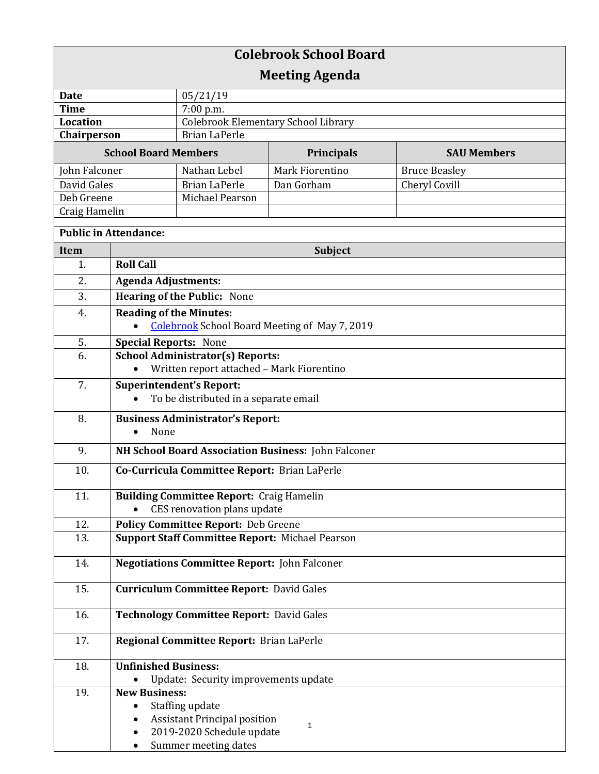| <b>Colebrook School Board</b> |                                                                                        |                                            |                   |                      |  |
|-------------------------------|----------------------------------------------------------------------------------------|--------------------------------------------|-------------------|----------------------|--|
| <b>Meeting Agenda</b>         |                                                                                        |                                            |                   |                      |  |
| <b>Date</b>                   |                                                                                        | 05/21/19                                   |                   |                      |  |
| <b>Time</b>                   |                                                                                        | 7:00 p.m.                                  |                   |                      |  |
| Location                      |                                                                                        | <b>Colebrook Elementary School Library</b> |                   |                      |  |
| Chairperson                   |                                                                                        | <b>Brian LaPerle</b>                       |                   |                      |  |
| <b>School Board Members</b>   |                                                                                        |                                            | <b>Principals</b> | <b>SAU Members</b>   |  |
| John Falconer                 |                                                                                        | Nathan Lebel                               | Mark Fiorentino   | <b>Bruce Beasley</b> |  |
| David Gales                   |                                                                                        | <b>Brian LaPerle</b>                       | Dan Gorham        | Cheryl Covill        |  |
| Deb Greene                    |                                                                                        | Michael Pearson                            |                   |                      |  |
| Craig Hamelin                 |                                                                                        |                                            |                   |                      |  |
| <b>Public in Attendance:</b>  |                                                                                        |                                            |                   |                      |  |
| <b>Item</b>                   |                                                                                        | <b>Subject</b>                             |                   |                      |  |
| 1.                            | <b>Roll Call</b>                                                                       |                                            |                   |                      |  |
| 2.                            | <b>Agenda Adjustments:</b>                                                             |                                            |                   |                      |  |
| 3.                            | Hearing of the Public: None                                                            |                                            |                   |                      |  |
| 4.                            |                                                                                        |                                            |                   |                      |  |
|                               | <b>Reading of the Minutes:</b><br><b>Colebrook School Board Meeting of May 7, 2019</b> |                                            |                   |                      |  |
|                               |                                                                                        |                                            |                   |                      |  |
| 5.<br>6.                      | <b>Special Reports: None</b>                                                           |                                            |                   |                      |  |
|                               | <b>School Administrator(s) Reports:</b><br>Written report attached - Mark Fiorentino   |                                            |                   |                      |  |
| 7.                            | Superintendent's Report:                                                               |                                            |                   |                      |  |
|                               | To be distributed in a separate email                                                  |                                            |                   |                      |  |
| 8.                            | <b>Business Administrator's Report:</b><br>None<br>$\bullet$                           |                                            |                   |                      |  |
| 9.                            | NH School Board Association Business: John Falconer                                    |                                            |                   |                      |  |
| 10.                           | Co-Curricula Committee Report: Brian LaPerle                                           |                                            |                   |                      |  |
| 11.                           |                                                                                        |                                            |                   |                      |  |
|                               | <b>Building Committee Report: Craig Hamelin</b><br>CES renovation plans update         |                                            |                   |                      |  |
| 12.                           | Policy Committee Report: Deb Greene                                                    |                                            |                   |                      |  |
| 13.                           | <b>Support Staff Committee Report: Michael Pearson</b>                                 |                                            |                   |                      |  |
|                               |                                                                                        |                                            |                   |                      |  |
| 14.                           | <b>Negotiations Committee Report: John Falconer</b>                                    |                                            |                   |                      |  |
| 15.                           | <b>Curriculum Committee Report: David Gales</b>                                        |                                            |                   |                      |  |
| 16.                           | <b>Technology Committee Report: David Gales</b>                                        |                                            |                   |                      |  |
| 17.                           | Regional Committee Report: Brian LaPerle                                               |                                            |                   |                      |  |
| 18.                           | <b>Unfinished Business:</b>                                                            |                                            |                   |                      |  |
|                               |                                                                                        | Update: Security improvements update       |                   |                      |  |
| 19.                           | <b>New Business:</b>                                                                   |                                            |                   |                      |  |
|                               | $\bullet$                                                                              | Staffing update                            |                   |                      |  |
|                               |                                                                                        | <b>Assistant Principal position</b>        |                   |                      |  |
|                               |                                                                                        | 2019-2020 Schedule update                  | 1                 |                      |  |
|                               |                                                                                        | Summer meeting dates                       |                   |                      |  |